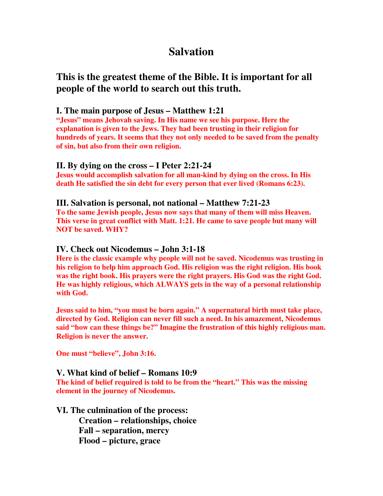# **Salvation**

## **This is the greatest theme of the Bible. It is important for all people of the world to search out this truth.**

## **I. The main purpose of Jesus – Matthew 1:21**

**"Jesus" means Jehovah saving. In His name we see his purpose. Here the explanation is given to the Jews. They had been trusting in their religion for hundreds of years. It seems that they not only needed to be saved from the penalty of sin, but also from their own religion.** 

## **II. By dying on the cross – I Peter 2:21-24**

**Jesus would accomplish salvation for all man-kind by dying on the cross. In His death He satisfied the sin debt for every person that ever lived (Romans 6:23).** 

## **III. Salvation is personal, not national – Matthew 7:21-23**

**To the same Jewish people, Jesus now says that many of them will miss Heaven. This verse in great conflict with Matt. 1:21. He came to save people but many will NOT be saved. WHY?** 

## **IV. Check out Nicodemus – John 3:1-18**

**Here is the classic example why people will not be saved. Nicodemus was trusting in his religion to help him approach God. His religion was the right religion. His book was the right book. His prayers were the right prayers. His God was the right God. He was highly religious, which ALWAYS gets in the way of a personal relationship with God.** 

**Jesus said to him, "you must be born again." A supernatural birth must take place, directed by God. Religion can never fill such a need. In his amazement, Nicodemus said "how can these things be?" Imagine the frustration of this highly religious man. Religion is never the answer.** 

**One must "believe", John 3:16.** 

## **V. What kind of belief – Romans 10:9**

**The kind of belief required is told to be from the "heart." This was the missing element in the journey of Nicodemus.** 

## **VI. The culmination of the process:**

 **Creation – relationships, choice Fall – separation, mercy Flood – picture, grace**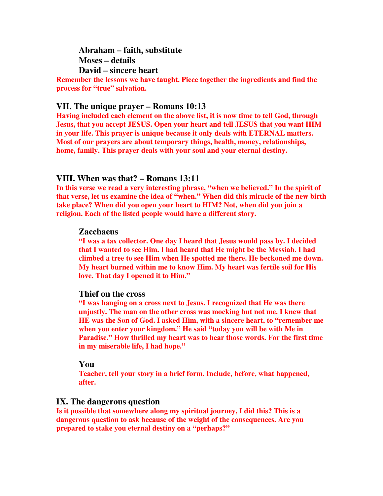**Abraham – faith, substitute Moses – details David – sincere heart** 

**Remember the lessons we have taught. Piece together the ingredients and find the process for "true" salvation.** 

#### **VII. The unique prayer – Romans 10:13**

**Having included each element on the above list, it is now time to tell God, through Jesus, that you accept JESUS. Open your heart and tell JESUS that you want HIM in your life. This prayer is unique because it only deals with ETERNAL matters. Most of our prayers are about temporary things, health, money, relationships, home, family. This prayer deals with your soul and your eternal destiny.** 

#### **VIII. When was that? – Romans 13:11**

**In this verse we read a very interesting phrase, "when we believed." In the spirit of that verse, let us examine the idea of "when." When did this miracle of the new birth take place? When did you open your heart to HIM? Not, when did you join a religion. Each of the listed people would have a different story.** 

#### **Zacchaeus**

**"I was a tax collector. One day I heard that Jesus would pass by. I decided that I wanted to see Him. I had heard that He might be the Messiah. I had climbed a tree to see Him when He spotted me there. He beckoned me down. My heart burned within me to know Him. My heart was fertile soil for His love. That day I opened it to Him."** 

#### **Thief on the cross**

**"I was hanging on a cross next to Jesus. I recognized that He was there unjustly. The man on the other cross was mocking but not me. I knew that HE was the Son of God. I asked Him, with a sincere heart, to "remember me when you enter your kingdom." He said "today you will be with Me in Paradise." How thrilled my heart was to hear those words. For the first time in my miserable life, I had hope."** 

#### **You**

**Teacher, tell your story in a brief form. Include, before, what happened, after.** 

#### **IX. The dangerous question**

**Is it possible that somewhere along my spiritual journey, I did this? This is a dangerous question to ask because of the weight of the consequences. Are you prepared to stake you eternal destiny on a "perhaps?"**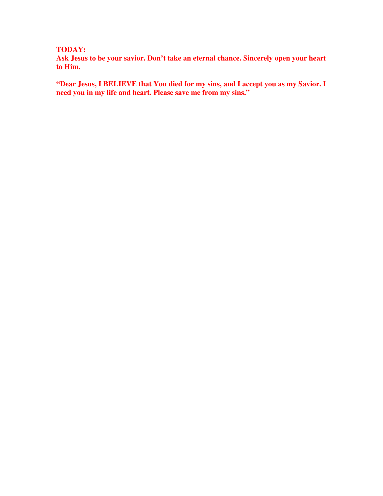#### **TODAY:**

**Ask Jesus to be your savior. Don't take an eternal chance. Sincerely open your heart to Him.** 

**"Dear Jesus, I BELIEVE that You died for my sins, and I accept you as my Savior. I need you in my life and heart. Please save me from my sins."**